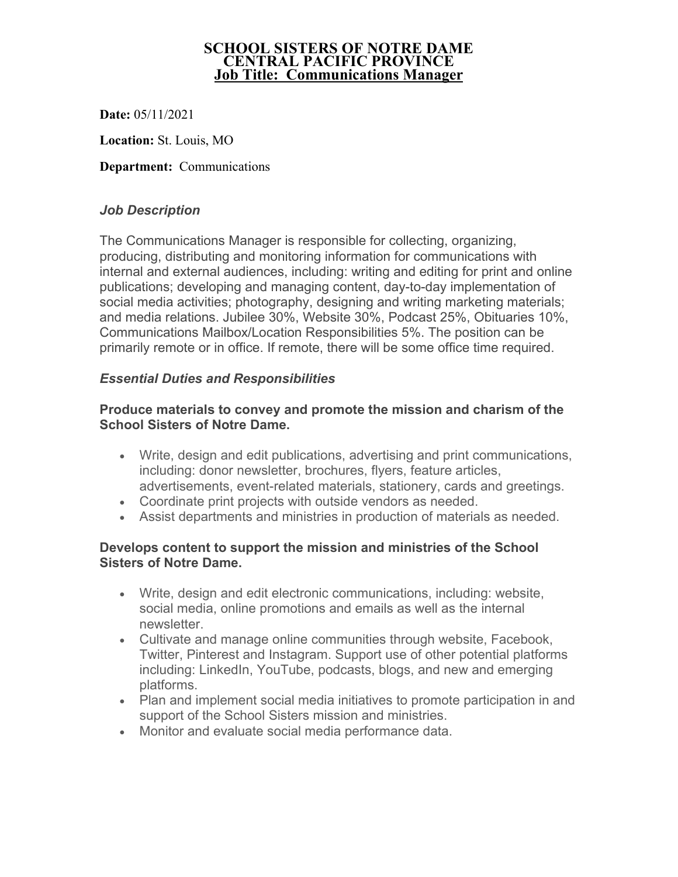#### **SCHOOL SISTERS OF NOTRE DAME CENTRAL PACIFIC PROVINCE Job Title: Communications Manager**

**Date:** 05/11/2021

**Location:** St. Louis, MO

#### **Department:** Communications

#### *Job Description*

The Communications Manager is responsible for collecting, organizing, producing, distributing and monitoring information for communications with internal and external audiences, including: writing and editing for print and online publications; developing and managing content, day-to-day implementation of social media activities; photography, designing and writing marketing materials; and media relations. Jubilee 30%, Website 30%, Podcast 25%, Obituaries 10%, Communications Mailbox/Location Responsibilities 5%. The position can be primarily remote or in office. If remote, there will be some office time required.

#### *Essential Duties and Responsibilities*

## **Produce materials to convey and promote the mission and charism of the School Sisters of Notre Dame.**

- Write, design and edit publications, advertising and print communications, including: donor newsletter, brochures, flyers, feature articles, advertisements, event-related materials, stationery, cards and greetings.
- Coordinate print projects with outside vendors as needed.
- Assist departments and ministries in production of materials as needed.

## **Develops content to support the mission and ministries of the School Sisters of Notre Dame.**

- Write, design and edit electronic communications, including: website, social media, online promotions and emails as well as the internal newsletter.
- Cultivate and manage online communities through website, Facebook, Twitter, Pinterest and Instagram. Support use of other potential platforms including: LinkedIn, YouTube, podcasts, blogs, and new and emerging platforms.
- Plan and implement social media initiatives to promote participation in and support of the School Sisters mission and ministries.
- Monitor and evaluate social media performance data.